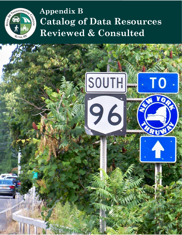

# **Appendix B Catalog of Data Resources Reviewed & Consulted**

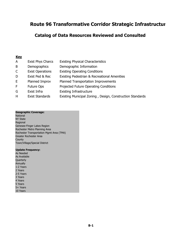# **Catalog of Data Resources Reviewed and Consulted**

## **Key**

| A            | <b>Exist Phys Charcs</b> | <b>Existing Physical Characteristics</b>     |  |
|--------------|--------------------------|----------------------------------------------|--|
| B            | Demographics             | Demographic Information                      |  |
| $\mathsf{C}$ | <b>Exist Operations</b>  | <b>Existing Operating Conditions</b>         |  |
| D            | Exist Ped & Rec          | Existing Pedestrian & Recreational Amenities |  |
| E.           | Planned Improv           | Planned Transportation Improvements          |  |
| F.           | <b>Future Ops</b>        | Projected Future Operating Conditions        |  |
| G            | Exist Infra              | <b>Existing Infrastructure</b>               |  |
| .            |                          | .                                            |  |

H Exist Standards Existing Municipal Zoning , Design, Construction Standards

#### **Geographic Coverage:**

**National** NY State Regional Genesee-Finger Lakes Region Rochester Metro Planning Area Rochester Transportation Mgmt Area (TMA) Greater Rochester Area **County** Town/Village/Special District

#### **Update Frequency:**

| As Needed    |
|--------------|
| As Available |
| Quarterly    |
| Annually     |
| 1-2 Years    |
| 2 Years      |
| 2-5 Years    |
| 3 Years      |
| 4 Years      |
| 5 Years      |
| 5+ Years     |
| 10 Years     |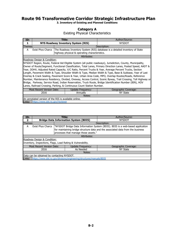**3. Inventory of Existing and Planned Conditions**

## **Category A**

Existing Physical Characteristics

| ID:     |                                                                               | Title: |                                               | Author/Source:                                                                                                |  |  |  |
|---------|-------------------------------------------------------------------------------|--------|-----------------------------------------------|---------------------------------------------------------------------------------------------------------------|--|--|--|
|         |                                                                               |        | <b>NYS Roadway Inventory System (RIS)</b>     | <b>NYSDOT</b>                                                                                                 |  |  |  |
| Themes: |                                                                               |        |                                               | Description:                                                                                                  |  |  |  |
| A       | Exist Phys Charcs                                                             |        |                                               | The Roadway Inventory System (RIS) database is a detailed inventory of State                                  |  |  |  |
|         |                                                                               |        | highway physical & operating characteristics. |                                                                                                               |  |  |  |
|         |                                                                               |        | Attributes:                                   |                                                                                                               |  |  |  |
|         | Roadway Design & Condition:                                                   |        |                                               |                                                                                                               |  |  |  |
|         |                                                                               |        |                                               | NYSDOT Region, Route, Federal Aid Eligible System (all public roadways), Jurisdiction, County, Municipality,  |  |  |  |
|         |                                                                               |        |                                               | Owner of Route/Segment, Functional Classification, Total Lanes, Primary Direction Lanes, Posted Speed, AADT & |  |  |  |
|         |                                                                               |        |                                               | Year, DDHV, Adjusted Rated Capacity, V/C Ratio, Percent Trucks & Year, Average Percent Trucks, Section        |  |  |  |
|         |                                                                               |        |                                               | Length, Pavement Width & Type, Shoulder Width & Type, Median Width & Type, Base & Subbase, Year of Last       |  |  |  |
|         |                                                                               |        |                                               | Overlay & Crack Sealing, Pavement Score & Year, Urban Area Code, MPO, Overlap Routes/Roads, Reference         |  |  |  |
|         |                                                                               |        |                                               | Number, Maintenance Residency, Divided, Oneway, Access Control, Scenic Byway, Trail Crossing, Toll Highway or |  |  |  |
|         |                                                                               |        |                                               | Bridge, Parkway, Service Road, Indian Reservation, Truck Route, Bridge Identification Number (BIN), HOV       |  |  |  |
|         | Lanes, Railroad Crossing, Parking, & Continuous Count Station Number.         |        |                                               |                                                                                                               |  |  |  |
|         | Most Recent Version Date:<br><b>Update Frequency:</b><br>Geographic Coverage: |        |                                               |                                                                                                               |  |  |  |
|         | 2016<br><b>NY State</b><br>Annually                                           |        |                                               |                                                                                                               |  |  |  |
| Notes:  |                                                                               |        |                                               |                                                                                                               |  |  |  |
|         | An annotated version of the RIS is available online.                          |        |                                               |                                                                                                               |  |  |  |
|         | Links: https://www.dot.ny.gov/risviewer                                       |        |                                               |                                                                                                               |  |  |  |

| ID:                       |                                            | Title: |                                                                      | Author/Source:                                                                  |  |
|---------------------------|--------------------------------------------|--------|----------------------------------------------------------------------|---------------------------------------------------------------------------------|--|
|                           |                                            |        | <b>Bridge Data Information System (BDIS)</b>                         | <b>NYSDOT</b>                                                                   |  |
| Themes:                   |                                            |        |                                                                      | Description:                                                                    |  |
| A                         | <b>Exist Phys Charcs</b>                   |        |                                                                      | "NYSDOT Bridge Data Information System (BDIS). BDIS is a web-based application  |  |
|                           |                                            |        |                                                                      | for maintaining bridge structure data and the associated data from the business |  |
|                           |                                            |        | processes that manage those assets."                                 |                                                                                 |  |
|                           |                                            |        | Attributes:                                                          |                                                                                 |  |
|                           | Roadway Design & Condition:                |        |                                                                      |                                                                                 |  |
|                           |                                            |        | Inventory, Inspections, Flags, Load Rating & Vulnerability.          |                                                                                 |  |
| Most Recent Version Date: |                                            |        | <b>Update Frequency:</b>                                             | Geographic Coverage:                                                            |  |
|                           | As Needed<br>2016                          |        |                                                                      | NY State                                                                        |  |
| Notes:                    |                                            |        |                                                                      |                                                                                 |  |
|                           | Data can be obtained by contacting NYSDOT. |        |                                                                      |                                                                                 |  |
| Links:                    |                                            |        | https://www.dot.ny.gov/divisions/engineering/structures/manuals/BDIS |                                                                                 |  |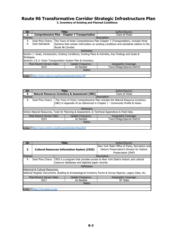| ID:               |                                                 | Title:             |                                                                | Author/Source:                                                                                             |  |  |
|-------------------|-------------------------------------------------|--------------------|----------------------------------------------------------------|------------------------------------------------------------------------------------------------------------|--|--|
| з                 |                                                 |                    | <b>Comprehensive Plan - Chapter 7 Transportation</b>           | Town of Victor                                                                                             |  |  |
| Themes:           |                                                 |                    |                                                                | Description:                                                                                               |  |  |
| A                 | <b>Exist Phys Charcs</b>                        |                    |                                                                | The Town of Victor Comprehensive Plan Chapter 7 (Transportation), includes three                           |  |  |
| н                 | Exist Standards                                 |                    |                                                                | Sections that contain information on existing conditions and standards relative to the                     |  |  |
|                   |                                                 | Route 96 Corridor. |                                                                |                                                                                                            |  |  |
|                   |                                                 |                    | Attributes:                                                    |                                                                                                            |  |  |
|                   |                                                 |                    |                                                                | Section 1: Goals, Introduction, Existing Conditions, Existing Plans & Activities, Key Findings and Goals & |  |  |
| Strategies.       |                                                 |                    |                                                                |                                                                                                            |  |  |
|                   |                                                 |                    | Sections 2 & 3: Victor Transportation System Plan & Inventory. |                                                                                                            |  |  |
|                   | <b>Most Recent Version Date:</b>                |                    | Update Frequency:                                              | Geographic Coverage:                                                                                       |  |  |
| As Needed<br>2015 |                                                 |                    |                                                                | Town/Village/Special District                                                                              |  |  |
|                   | Notes:                                          |                    |                                                                |                                                                                                            |  |  |
|                   |                                                 |                    |                                                                |                                                                                                            |  |  |
| Links:            | http://www.victorny.org/DocumentCenter/View/797 |                    |                                                                |                                                                                                            |  |  |

| ID:                       |                                                 | Title: |                                                          | Author/Source:                                                                                   |  |  |
|---------------------------|-------------------------------------------------|--------|----------------------------------------------------------|--------------------------------------------------------------------------------------------------|--|--|
| 4                         |                                                 |        | <b>Natural Resource Inventory &amp; Assessment (NRI)</b> | Town of Victor                                                                                   |  |  |
| Themes:                   |                                                 |        |                                                          | Description:                                                                                     |  |  |
| А                         | <b>Exist Phys Charcs</b>                        |        |                                                          | The Town of Victor Comprehensive Plan includes the Natural Resource Inventory                    |  |  |
|                           |                                                 |        |                                                          | (NRI) in Appendix XI as referenced in Chapter 1 - Community Profile & Vision.                    |  |  |
|                           |                                                 |        |                                                          |                                                                                                  |  |  |
|                           |                                                 |        | Attributes:                                              |                                                                                                  |  |  |
|                           |                                                 |        |                                                          | Victors Natural Resources, Tools for Planning & Assessment, & Technical Appendices & Field Data. |  |  |
| Most Recent Version Date: |                                                 |        | Update Frequency:                                        | Geographic Coverage:                                                                             |  |  |
|                           | 2014                                            |        | As Needed                                                | Town/Village/Special District                                                                    |  |  |
|                           | Notes:                                          |        |                                                          |                                                                                                  |  |  |
|                           |                                                 |        |                                                          |                                                                                                  |  |  |
| Links:                    | http://www.victorny.org/DocumentCenter/View/810 |        |                                                          |                                                                                                  |  |  |

| ID:     |                                                                                                            | Title: |                                                 | Author/Source:                                                                                  |  |  |  |
|---------|------------------------------------------------------------------------------------------------------------|--------|-------------------------------------------------|-------------------------------------------------------------------------------------------------|--|--|--|
| 5       | <b>Cultural Resources Information System (CRIS)</b>                                                        |        |                                                 | New York State Office of Parks, Recreation and<br>Historic Preservation's Division for Historic |  |  |  |
|         |                                                                                                            |        |                                                 | Preservation (DHP)                                                                              |  |  |  |
| Themes: |                                                                                                            |        |                                                 | Description:                                                                                    |  |  |  |
| A       | Exist Phys Charcs                                                                                          |        |                                                 | CRIS is a program that provides access to New York State's historic and cultural                |  |  |  |
|         |                                                                                                            |        | resource databases and digitized paper records. |                                                                                                 |  |  |  |
|         |                                                                                                            |        | Attributes:                                     |                                                                                                 |  |  |  |
|         | Historical & Cultural Resources:                                                                           |        |                                                 |                                                                                                 |  |  |  |
|         | National Register Documents, Building & Archaeological Inventory Forms & Survey Reports, Legacy Data, etc. |        |                                                 |                                                                                                 |  |  |  |
|         | Most Recent Version Date:<br>Update Frequency:<br>Geographic Coverage:                                     |        |                                                 |                                                                                                 |  |  |  |
|         | As Needed<br>2017                                                                                          |        |                                                 | NY State                                                                                        |  |  |  |
| Notes:  |                                                                                                            |        |                                                 |                                                                                                 |  |  |  |
|         |                                                                                                            |        |                                                 |                                                                                                 |  |  |  |
| Links:  | https://cris.parks.ny.gov                                                                                  |        |                                                 |                                                                                                 |  |  |  |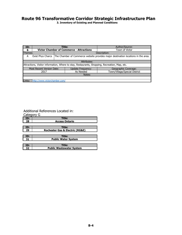**3. Inventory of Existing and Planned Conditions**

| ID:                       |                               | Title: |                                                                                               | Author/Source:                                                                                        |  |  |
|---------------------------|-------------------------------|--------|-----------------------------------------------------------------------------------------------|-------------------------------------------------------------------------------------------------------|--|--|
| -6                        |                               |        | <b>Victor Chamber of Commerce - Attractions</b>                                               | Town of Victor                                                                                        |  |  |
| Themes:                   |                               |        |                                                                                               | Description:                                                                                          |  |  |
| A                         |                               |        |                                                                                               | Exist Phys Charcs   The Chamber of Commerce website provides major destination locations in the area. |  |  |
|                           |                               |        |                                                                                               |                                                                                                       |  |  |
|                           |                               |        | Attributes:                                                                                   |                                                                                                       |  |  |
|                           |                               |        | Attractions, Visitor information, Where to stay, Restaurants, Shopping, Recreation, Map, etc. |                                                                                                       |  |  |
| Most Recent Version Date: |                               |        | Update Frequency:                                                                             | Geographic Coverage:                                                                                  |  |  |
|                           | 2017                          |        | As Needed                                                                                     | Town/Village/Special District                                                                         |  |  |
|                           | Notes:                        |        |                                                                                               |                                                                                                       |  |  |
|                           |                               |        |                                                                                               |                                                                                                       |  |  |
| Links:                    | http://www.victorchamber.com/ |        |                                                                                               |                                                                                                       |  |  |

#### Additional References Located in:

**32**

| Category G |                                                |
|------------|------------------------------------------------|
| ID:        | <b>Title:</b>                                  |
| 28         | <b>Access Ontario</b>                          |
|            |                                                |
| ID:        | Title:                                         |
| 29         | <b>Rochester Gas &amp; Electric (RG&amp;E)</b> |
|            |                                                |
| ID:        | Title:                                         |
| 31         | <b>Public Water System</b>                     |
|            |                                                |
| ID:        | Title:                                         |

**Public Wastewater System**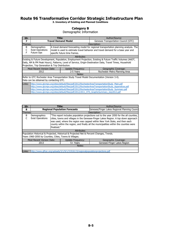**3. Inventory of Existing and Planned Conditions**

## **Category B**

## Demographic Information

| ID:     |                                                                                                                                                                                                                                                                            | Title:                                                                                                                                                                                                  |                            | Author/Source:                                                                                                                                                                                                                                                                                                                                                                                   |  |  |  |
|---------|----------------------------------------------------------------------------------------------------------------------------------------------------------------------------------------------------------------------------------------------------------------------------|---------------------------------------------------------------------------------------------------------------------------------------------------------------------------------------------------------|----------------------------|--------------------------------------------------------------------------------------------------------------------------------------------------------------------------------------------------------------------------------------------------------------------------------------------------------------------------------------------------------------------------------------------------|--|--|--|
| 7       |                                                                                                                                                                                                                                                                            |                                                                                                                                                                                                         | <b>Travel Demand Model</b> | Genesee Transportation Council (GTC)                                                                                                                                                                                                                                                                                                                                                             |  |  |  |
| Themes: |                                                                                                                                                                                                                                                                            |                                                                                                                                                                                                         |                            | Description:                                                                                                                                                                                                                                                                                                                                                                                     |  |  |  |
| B<br>F  | Demographics<br><b>Exist Operations</b><br><b>Future Ops</b>                                                                                                                                                                                                               | A travel demand forecasting model for regional transportation planning analysis. The<br>model is used to estimate travel behavior and travel demand for a base year and<br>specific future time frames. |                            |                                                                                                                                                                                                                                                                                                                                                                                                  |  |  |  |
|         |                                                                                                                                                                                                                                                                            |                                                                                                                                                                                                         | Attributes:                |                                                                                                                                                                                                                                                                                                                                                                                                  |  |  |  |
|         | Existing & Future Development, Population, Employment Projection, Existing & Future Traffic Volumes (AADT,<br>Daily, AM & PM Peak Hours), Patterns, Level of Service, Origin-Destination Data, Travel Times, Household<br>Projection, Trip Generation & Trip Distribution. |                                                                                                                                                                                                         |                            |                                                                                                                                                                                                                                                                                                                                                                                                  |  |  |  |
|         | Most Recent Version Date:                                                                                                                                                                                                                                                  |                                                                                                                                                                                                         | <b>Update Frequency:</b>   | Geographic Coverage:                                                                                                                                                                                                                                                                                                                                                                             |  |  |  |
|         | 2012                                                                                                                                                                                                                                                                       |                                                                                                                                                                                                         | 2-5 Years                  | Rochester Metro Planning Area                                                                                                                                                                                                                                                                                                                                                                    |  |  |  |
|         | Notes:                                                                                                                                                                                                                                                                     |                                                                                                                                                                                                         |                            |                                                                                                                                                                                                                                                                                                                                                                                                  |  |  |  |
|         | Refer to GTC Rochester Area Transportation Study Travel Model Documentation (Version 3.4).                                                                                                                                                                                 |                                                                                                                                                                                                         |                            |                                                                                                                                                                                                                                                                                                                                                                                                  |  |  |  |
|         | Data can be obtained by contacting GTC.                                                                                                                                                                                                                                    |                                                                                                                                                                                                         |                            |                                                                                                                                                                                                                                                                                                                                                                                                  |  |  |  |
| Links:  |                                                                                                                                                                                                                                                                            |                                                                                                                                                                                                         |                            | http://www.gtcmpo.org/sites/default/files/pdf/2012/RochesterAreaTransportationStudy Main.pdf<br>http://www.qtcmpo.org/sites/default/files/pdf/2012/RochesterAreaTransportationStudy Appendices.pdf<br>http://www.gtcmpo.org/sites/default/files/pdf/2012/RochesterAreaTransportationStudy Summary.pdf<br>http://www.gtcmpo.org/sites/default/files/pdf/2012/2011 HTS GraphicSummary July2012.pdf |  |  |  |

| ID:     |                                                                        | Title:      |                                                                                          | Author/Source:                                                                          |  |  |
|---------|------------------------------------------------------------------------|-------------|------------------------------------------------------------------------------------------|-----------------------------------------------------------------------------------------|--|--|
| 8       |                                                                        |             | <b>Regional Population Forecasts</b>                                                     | Genesee/Finger Lakes Regional Planning Counci                                           |  |  |
| Themes: |                                                                        |             |                                                                                          | Description:                                                                            |  |  |
| B       | Demographics                                                           |             |                                                                                          | "This report includes population projections out to the year 2050 for the all counties, |  |  |
|         | <b>Exist Operations</b>                                                |             |                                                                                          | cities, towns and villages in the Genesee-Finger Lakes Region. A top down approach      |  |  |
|         |                                                                        |             |                                                                                          | was used, where the region was capped within New York State, and then each              |  |  |
|         |                                                                        |             |                                                                                          | county within the region, and finally all the municipalities within the counties were   |  |  |
|         |                                                                        | finalized." |                                                                                          |                                                                                         |  |  |
|         | Attributes:                                                            |             |                                                                                          |                                                                                         |  |  |
|         |                                                                        |             | Population Historical & Projected, Historical & Projected Net & Percent Changes, Trends. |                                                                                         |  |  |
|         | Years 1960-2050 by Counties, Cities, Towns & Villages.                 |             |                                                                                          |                                                                                         |  |  |
|         | Most Recent Version Date:<br>Geographic Coverage:<br>Update Frequency: |             |                                                                                          |                                                                                         |  |  |
|         | 2013                                                                   |             | 5+ Years                                                                                 | Genesee-Finger Lakes Region                                                             |  |  |
|         | Notes:                                                                 |             |                                                                                          |                                                                                         |  |  |
|         |                                                                        |             |                                                                                          |                                                                                         |  |  |
| Links:  |                                                                        |             | http://www.qflrpc.org/uploads/3/1/9/1/31916115/regionalpopulationprojections.pdf         |                                                                                         |  |  |

**B-5**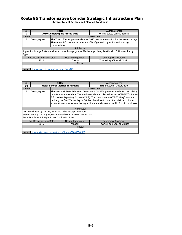| ID:     |                                                   | Title:           |                               | Author/Source:                                                                                        |  |  |
|---------|---------------------------------------------------|------------------|-------------------------------|-------------------------------------------------------------------------------------------------------|--|--|
| ą       |                                                   |                  | 2010 Demographic Profile Data | United States Census Bureau                                                                           |  |  |
| Themes: |                                                   |                  |                               | Description:                                                                                          |  |  |
| B       | Demographics                                      |                  |                               | The Town of Victor provides detailed 2010 census information for the town & village.                  |  |  |
|         |                                                   |                  |                               | The census information includes a profile of general population and housing                           |  |  |
|         |                                                   | characteristics. |                               |                                                                                                       |  |  |
|         |                                                   |                  | Attributes:                   |                                                                                                       |  |  |
|         |                                                   |                  |                               | Population by Age & Gender (broken down by age group), Median Age, Race, Relationship & Households by |  |  |
| Type.   |                                                   |                  |                               |                                                                                                       |  |  |
|         | Most Recent Version Date:                         |                  | Update Frequency:             | Geographic Coverage:                                                                                  |  |  |
|         | Town/Village/Special District<br>10 Years<br>2010 |                  |                               |                                                                                                       |  |  |
|         | Notes:                                            |                  |                               |                                                                                                       |  |  |
|         |                                                   |                  |                               |                                                                                                       |  |  |
| Links:  | http://www.victorny.org/index.aspx?nid=123        |                  |                               |                                                                                                       |  |  |

| ID:     |                                                                        | Title: |                                                                  | Author/Source:                                                                        |  |  |  |
|---------|------------------------------------------------------------------------|--------|------------------------------------------------------------------|---------------------------------------------------------------------------------------|--|--|--|
| 10      |                                                                        |        | <b>Victor School District Enrolment</b>                          | NYS Education Department                                                              |  |  |  |
| Themes: |                                                                        |        |                                                                  | Description:                                                                          |  |  |  |
| B       | Demographics                                                           |        |                                                                  | The New York State Education Department (NYSED) provides a website that publicly      |  |  |  |
|         |                                                                        |        |                                                                  | reports educational data. The enrollment data is collected as part of NYSED's Student |  |  |  |
|         |                                                                        |        |                                                                  | Information Repository System (SIRS). The counts are as of "BEDS Day" which is        |  |  |  |
|         |                                                                        |        |                                                                  | typically the first Wednesday in October. Enrollment counts for public and charter    |  |  |  |
|         |                                                                        |        |                                                                  | school students by various demographics are available for the 2015 - 16 school year.  |  |  |  |
|         |                                                                        |        |                                                                  |                                                                                       |  |  |  |
|         |                                                                        |        | Attributes:                                                      |                                                                                       |  |  |  |
|         |                                                                        |        | K-12 Enrollment by Gender, Ethnicity, Other Groups, & Grade.     |                                                                                       |  |  |  |
|         |                                                                        |        | Grades 3-8 English Language Arts & Mathematics Assessments Data. |                                                                                       |  |  |  |
|         | Fiscal Supplement & High School Graduation Rate.                       |        |                                                                  |                                                                                       |  |  |  |
|         | Most Recent Version Date:<br>Update Frequency:<br>Geographic Coverage: |        |                                                                  |                                                                                       |  |  |  |
|         | 2016                                                                   |        | Annually                                                         | Town/Village/Special District                                                         |  |  |  |
| Notes:  |                                                                        |        |                                                                  |                                                                                       |  |  |  |
|         |                                                                        |        |                                                                  |                                                                                       |  |  |  |
| Links:  | https://data.nysed.gov/profile.php?instid=800000040525                 |        |                                                                  |                                                                                       |  |  |  |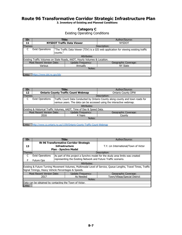**3. Inventory of Existing and Planned Conditions**

## **Category C**

Existing Operating Conditions

| ID:     |                            |          | Title:                                                                               | Author/Source:                                                                      |  |
|---------|----------------------------|----------|--------------------------------------------------------------------------------------|-------------------------------------------------------------------------------------|--|
| 11      |                            |          | <b>NYSDOT Traffic Data Viewer</b>                                                    | <b>NYSDOT</b>                                                                       |  |
| Themes: |                            |          |                                                                                      | Description:                                                                        |  |
|         | <b>Exist Operations</b>    |          |                                                                                      | The Traffic Data Viewer (TDV) is a GIS web application for viewing existing traffic |  |
|         |                            | counts." |                                                                                      |                                                                                     |  |
|         |                            |          | Attributes:                                                                          |                                                                                     |  |
|         |                            |          | <b>Existing Traffic Volumes on State Roads, AADT, Hourly Volumes &amp; Location.</b> |                                                                                     |  |
|         | Most Recent Version Date:  |          | Update Frequency:                                                                    | Geographic Coverage:                                                                |  |
|         | Various<br>Annually        |          |                                                                                      | NY State                                                                            |  |
| Notes:  |                            |          |                                                                                      |                                                                                     |  |
|         |                            |          |                                                                                      |                                                                                     |  |
|         | https://www.dot.ny.gov/tdv |          |                                                                                      |                                                                                     |  |

| ID:     |                                                                      |  | Title:                                                                 | Author/Source:                                                                 |  |  |
|---------|----------------------------------------------------------------------|--|------------------------------------------------------------------------|--------------------------------------------------------------------------------|--|--|
| 12      |                                                                      |  | <b>Ontario County Traffic Count Webmap</b>                             | <b>Ontario County DPW</b>                                                      |  |  |
| Themes: |                                                                      |  |                                                                        | Description:                                                                   |  |  |
|         | <b>Exist Operations</b>                                              |  |                                                                        | Traffic Count Data Conducted by Ontario County along county and town roads for |  |  |
|         |                                                                      |  |                                                                        | various years. The data can be accessed using the interactive webmap.          |  |  |
|         |                                                                      |  | Attributes:                                                            |                                                                                |  |  |
|         |                                                                      |  | Existing & Historical Traffic Volumes, AADT, Time of Day & Speed Data. |                                                                                |  |  |
|         | Most Recent Version Date:                                            |  | Update Frequency:                                                      | Geographic Coverage:                                                           |  |  |
|         | 4 Years<br>2016                                                      |  |                                                                        | County                                                                         |  |  |
| Notes:  |                                                                      |  |                                                                        |                                                                                |  |  |
|         |                                                                      |  |                                                                        |                                                                                |  |  |
| Links:  | http://www.co.ontario.ny.us/1159/Ontario-County-Traffic-Count-Webmap |  |                                                                        |                                                                                |  |  |

| ID:     | Title:                                                 |                                                                |                                                                               | Author/Source:                                                                                                |  |
|---------|--------------------------------------------------------|----------------------------------------------------------------|-------------------------------------------------------------------------------|---------------------------------------------------------------------------------------------------------------|--|
| 13      |                                                        | <b>Infrastructure</b>                                          | <b>Rt 96 Transformative Corridor Strategic</b><br><b>Plan - Synchro Model</b> | T.Y. Lin International/Town of Victor                                                                         |  |
| Themes: |                                                        |                                                                |                                                                               | Description:                                                                                                  |  |
|         | <b>Exist Operations</b>                                |                                                                |                                                                               | As part of this project a Synchro model for the study area limits was created                                 |  |
| F       | <b>Future Ops</b>                                      | representing the Existing Network and Future Traffic scenario. |                                                                               |                                                                                                               |  |
|         |                                                        |                                                                | Attributes:                                                                   |                                                                                                               |  |
|         |                                                        |                                                                |                                                                               | Existing & Future Turning Movement Volumes, Multimodal Level of Service, Queue Lengths, Travel Times, Traffic |  |
|         | Signal Timings, Heavy Vehicle Percentages & Speeds.    |                                                                |                                                                               |                                                                                                               |  |
|         | Most Recent Version Date:                              |                                                                | Update Frequency:                                                             | Geographic Coverage:                                                                                          |  |
|         | 2017                                                   |                                                                | As Needed                                                                     | Town/Village/Special District                                                                                 |  |
| Notes:  |                                                        |                                                                |                                                                               |                                                                                                               |  |
|         | Data can be obtained by contacting the Town of Victor. |                                                                |                                                                               |                                                                                                               |  |
| Links:  |                                                        |                                                                |                                                                               |                                                                                                               |  |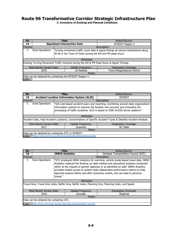| ID:     | Title:                                                  |                                                                                                                                                     |                                                                                           | Author/Source:                |  |  |
|---------|---------------------------------------------------------|-----------------------------------------------------------------------------------------------------------------------------------------------------|-------------------------------------------------------------------------------------------|-------------------------------|--|--|
| 14      |                                                         |                                                                                                                                                     | <b>Signalized Intersection Data</b>                                                       | <b>NYSDOT Region 4</b>        |  |  |
| Themes: |                                                         |                                                                                                                                                     |                                                                                           | Description:                  |  |  |
|         | <b>Exist Operations</b>                                 | Turning movement traffic count data & signal timings at various intersections along<br>Rt 96 in the Town of Victor during the AM and PM peak hours. |                                                                                           |                               |  |  |
|         |                                                         |                                                                                                                                                     | Attributes:                                                                               |                               |  |  |
|         |                                                         |                                                                                                                                                     | Existing Turning Movement Traffic Volumes during the AM & PM Peak Hours & Signal Timings. |                               |  |  |
|         | Most Recent Version Date:                               |                                                                                                                                                     | Update Frequency:                                                                         | Geographic Coverage:          |  |  |
|         | 2016                                                    |                                                                                                                                                     | As Needed                                                                                 | Town/Village/Special District |  |  |
| Notes:  |                                                         |                                                                                                                                                     |                                                                                           |                               |  |  |
|         | Data can be obtained by contacting the NYSDOT Region 4. |                                                                                                                                                     |                                                                                           |                               |  |  |
| Links:  |                                                         |                                                                                                                                                     |                                                                                           |                               |  |  |

| ID:     | Title:                                            |  |                                                              | Author/Source:                                                                                                  |  |  |
|---------|---------------------------------------------------|--|--------------------------------------------------------------|-----------------------------------------------------------------------------------------------------------------|--|--|
| 15      |                                                   |  | <b>Accident Location Information System (ALIS)</b>           | <b>NYSDOT</b>                                                                                                   |  |  |
| Themes: |                                                   |  |                                                              | Description:                                                                                                    |  |  |
|         | <b>Exist Operations</b>                           |  |                                                              | "GIS web-based accident query and reporting. Combining several state organizations'                             |  |  |
|         |                                                   |  |                                                              | information systems to improve the location and accuracy and streamline the                                     |  |  |
|         |                                                   |  |                                                              | processing of traffic accidents. ALIS is based on ESRI ArcGIS Server platform."                                 |  |  |
|         |                                                   |  |                                                              |                                                                                                                 |  |  |
|         |                                                   |  | Attributes:                                                  |                                                                                                                 |  |  |
|         |                                                   |  |                                                              | Accident Data, High Accident Locations, Concentrations of Specific Accident Types & Detailed Accident Analysis. |  |  |
|         | Most Recent Version Date:                         |  | Update Frequency:                                            | Geographic Coverage:                                                                                            |  |  |
|         | 2017                                              |  | Ouarterly                                                    | NY State                                                                                                        |  |  |
|         | Notes:                                            |  |                                                              |                                                                                                                 |  |  |
|         | Data can be obtained by contacting GTC or NYSDOT. |  |                                                              |                                                                                                                 |  |  |
| Links:  |                                                   |  | https://www.dot.ny.gov/divisions/operating/osss/highway/alis |                                                                                                                 |  |  |

| ID:                                     |                                                                                                      | Title:                                                                                                                                                                                                                                                                                                                                                                                                                                           |                   | Author/Source:                       |  |  |
|-----------------------------------------|------------------------------------------------------------------------------------------------------|--------------------------------------------------------------------------------------------------------------------------------------------------------------------------------------------------------------------------------------------------------------------------------------------------------------------------------------------------------------------------------------------------------------------------------------------------|-------------------|--------------------------------------|--|--|
| 16                                      |                                                                                                      | <b>INRIX Analytics</b>                                                                                                                                                                                                                                                                                                                                                                                                                           |                   | Genesee Transportation Council (GTC) |  |  |
| Themes:                                 |                                                                                                      |                                                                                                                                                                                                                                                                                                                                                                                                                                                  |                   | Description:                         |  |  |
|                                         | <b>Exist Operations</b>                                                                              | "GTC employed INRIX Analytics for real-time, vehicle probe-based travel data. INRIX<br>Analytics replaced the floating car data method and specialized analyses conducted<br>either at the request of partner agencies or as identified by staff. INRIX Analytics<br>provides instant access to system-wide independent performance metrics to help<br>agencies analyze before and after scenarios, events, and use data to perceive<br>trends." |                   |                                      |  |  |
|                                         |                                                                                                      |                                                                                                                                                                                                                                                                                                                                                                                                                                                  | Attributes:       |                                      |  |  |
|                                         | Travel time, Travel time index, Buffer time, Buffer index, Planning time, Planning index, and Speed. |                                                                                                                                                                                                                                                                                                                                                                                                                                                  |                   |                                      |  |  |
|                                         | Most Recent Version Date:                                                                            |                                                                                                                                                                                                                                                                                                                                                                                                                                                  | Update Frequency: | Geographic Coverage:                 |  |  |
|                                         | 2016                                                                                                 |                                                                                                                                                                                                                                                                                                                                                                                                                                                  | Annually          | Regional                             |  |  |
|                                         | Notes:                                                                                               |                                                                                                                                                                                                                                                                                                                                                                                                                                                  |                   |                                      |  |  |
| Data can be obtained by contacting GTC. |                                                                                                      |                                                                                                                                                                                                                                                                                                                                                                                                                                                  |                   |                                      |  |  |
| Links:                                  | http://inrix.com/case-studies/genesee-transportation-council/                                        |                                                                                                                                                                                                                                                                                                                                                                                                                                                  |                   |                                      |  |  |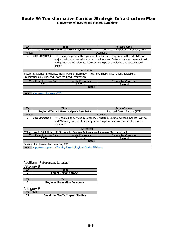**3. Inventory of Existing and Planned Conditions**

| ID:           |                                                                        | Title:                                                                                                                                                                                                                                                                 | Author/Source:                       |  |  |  |
|---------------|------------------------------------------------------------------------|------------------------------------------------------------------------------------------------------------------------------------------------------------------------------------------------------------------------------------------------------------------------|--------------------------------------|--|--|--|
| 17            |                                                                        | 2014 Greater Rochester Area Bicycling Map                                                                                                                                                                                                                              | Genesee Transportation Council (GTC) |  |  |  |
| Themes:       |                                                                        |                                                                                                                                                                                                                                                                        | Description:                         |  |  |  |
|               | <b>Exist Operations</b>                                                | "The ratings represent the opinions of experienced bicyclists on the rideability of<br>major roads based on existing road conditions and features such as pavement width<br>and quality, traffic volumes, presence and type of shoulders, and posted speed<br>limits." |                                      |  |  |  |
|               |                                                                        | Attributes:                                                                                                                                                                                                                                                            |                                      |  |  |  |
|               |                                                                        | Bikeablility Ratings, Bike lanes, Trails, Parks or Recreation Area, Bike Shops, Bike Parking & Lockers,<br>Organizations & Clubs, and Share the Road Information.                                                                                                      |                                      |  |  |  |
|               | Most Recent Version Date:<br>Geographic Coverage:<br>Update Frequency: |                                                                                                                                                                                                                                                                        |                                      |  |  |  |
|               | 2014                                                                   | 2-5 Years                                                                                                                                                                                                                                                              | Regional                             |  |  |  |
|               | Notes:                                                                 |                                                                                                                                                                                                                                                                        |                                      |  |  |  |
|               |                                                                        |                                                                                                                                                                                                                                                                        |                                      |  |  |  |
| <b>Links:</b> | http://www.gtcmpo.org/602                                              |                                                                                                                                                                                                                                                                        |                                      |  |  |  |

| ID:                                                                                                                                                                                                         |                                         |  | Title:                                                                                 | Author/Source:                 |  |  |
|-------------------------------------------------------------------------------------------------------------------------------------------------------------------------------------------------------------|-----------------------------------------|--|----------------------------------------------------------------------------------------|--------------------------------|--|--|
| 18                                                                                                                                                                                                          |                                         |  | <b>Regional Transit Service Operations Data</b>                                        | Regional Transit Service (RTS) |  |  |
| Themes:                                                                                                                                                                                                     |                                         |  |                                                                                        | Description:                   |  |  |
| <b>Exist Operations</b><br>"RTS studied its services in Genesee, Livingston, Ontario, Orleans, Seneca, Wayne,<br>and Wyoming Counties to identify service improvements and connections across<br>counties." |                                         |  |                                                                                        |                                |  |  |
|                                                                                                                                                                                                             |                                         |  | Attributes:                                                                            |                                |  |  |
|                                                                                                                                                                                                             |                                         |  | RTS Monroe Rt 84 & Ontario Rt 3 ridership, On-time Performance & Average Maximum Load. |                                |  |  |
|                                                                                                                                                                                                             | Most Recent Version Date:               |  | Update Frequency:                                                                      | Geographic Coverage:           |  |  |
|                                                                                                                                                                                                             | 2016                                    |  | 5+ Years                                                                               | Regional                       |  |  |
|                                                                                                                                                                                                             | Notes:                                  |  |                                                                                        |                                |  |  |
|                                                                                                                                                                                                             | Data can be obtained by contacting RTS. |  |                                                                                        |                                |  |  |
| Links:                                                                                                                                                                                                      |                                         |  | http://www.myrts.com/Planning-Projects/Regional-Service-Efficiency                     |                                |  |  |

## Additional References Located in:

| Category B |                                      |
|------------|--------------------------------------|
| ID:        | Title:                               |
|            | <b>Travel Demand Model</b>           |
|            |                                      |
| ID:        | Title:                               |
|            | <b>Regional Population Forecasts</b> |

#### Category F

| ID: | <b>Title:</b>                           |
|-----|-----------------------------------------|
| 27  | <b>Developer Traffic Impact Studies</b> |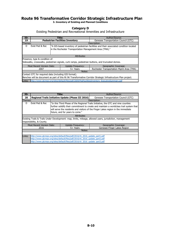**3. Inventory of Existing and Planned Conditions**

#### **Category D**

Existing Pedestrian and Recreational Amenities and Infrastructure

| ID:                                                                                                           |                                | Title: |                                                         | Author/Source:                                                                                  |  |  |
|---------------------------------------------------------------------------------------------------------------|--------------------------------|--------|---------------------------------------------------------|-------------------------------------------------------------------------------------------------|--|--|
| 19                                                                                                            |                                |        | <b>Pedestrian Facilities Inventory</b>                  | Genesee Transportation Council (GTC)                                                            |  |  |
| Themes:                                                                                                       |                                |        |                                                         | Description:                                                                                    |  |  |
| D                                                                                                             | Exist Ped & Rec                |        |                                                         | "A GIS-based inventory of pedestrian facilities and their associated condition located          |  |  |
|                                                                                                               |                                |        | in the Rochester Transportation Management Area (TMA)." |                                                                                                 |  |  |
|                                                                                                               |                                |        |                                                         |                                                                                                 |  |  |
|                                                                                                               |                                |        | Attributes:                                             |                                                                                                 |  |  |
|                                                                                                               |                                |        |                                                         |                                                                                                 |  |  |
|                                                                                                               | Presence, type & condition of: |        |                                                         |                                                                                                 |  |  |
|                                                                                                               |                                |        |                                                         | Sidewalks, crosswalks, pedestrian signals, curb ramps, pedestrian buttons, and truncated domes. |  |  |
|                                                                                                               | Most Recent Version Date:      |        | Update Frequency:                                       | Geographic Coverage:                                                                            |  |  |
|                                                                                                               | 2007                           |        | 5+ Years                                                | Rochester Transportation Mgmt Area (TMA)                                                        |  |  |
|                                                                                                               | Notes:                         |        |                                                         |                                                                                                 |  |  |
| Contact GTC for required data (including GIS format).                                                         |                                |        |                                                         |                                                                                                 |  |  |
| Benches will be document as part of this Rt 96 Transformative Corridor Strategic Infrastructure Plan project. |                                |        |                                                         |                                                                                                 |  |  |
| Links:                                                                                                        |                                |        |                                                         | http://www.gtcmpo.org/sites/default/files/pdf/2009/PedFacilitiesInventory_ExecutiveSummary.pdf  |  |  |

| ID:     |                           | Title:                                                                                                                                                                                                                                                                                               |                                                                                                                                                                                                                                              | Author/Source:                                                                                            |  |  |
|---------|---------------------------|------------------------------------------------------------------------------------------------------------------------------------------------------------------------------------------------------------------------------------------------------------------------------------------------------|----------------------------------------------------------------------------------------------------------------------------------------------------------------------------------------------------------------------------------------------|-----------------------------------------------------------------------------------------------------------|--|--|
| 20      |                           |                                                                                                                                                                                                                                                                                                      | Regional Trails Initiative Update (Phase III 2016)                                                                                                                                                                                           | Genesee Transportation Council (GTC)                                                                      |  |  |
| Themes: |                           |                                                                                                                                                                                                                                                                                                      |                                                                                                                                                                                                                                              | Description:                                                                                              |  |  |
| D       | Exist Ped & Rec           | "In this Third Phase of the Regional Trails Initiative, the GTC and nine counties<br>further solidify their commitment to create and maintain a worldclass trail system that<br>will serve the residents and visitors of the Finger Lakes region in the immediate<br>future, and for years to come." |                                                                                                                                                                                                                                              |                                                                                                           |  |  |
|         |                           |                                                                                                                                                                                                                                                                                                      | Attributes:                                                                                                                                                                                                                                  |                                                                                                           |  |  |
|         | responsibility, & County. |                                                                                                                                                                                                                                                                                                      |                                                                                                                                                                                                                                              | Existing Trails & Trails Under Development: map, limits, mileage, allowed users, jurisdiction, management |  |  |
|         | Most Recent Version Date: |                                                                                                                                                                                                                                                                                                      | Update Frequency:                                                                                                                                                                                                                            | Geographic Coverage:                                                                                      |  |  |
|         | 2016                      |                                                                                                                                                                                                                                                                                                      | 5+ Years                                                                                                                                                                                                                                     | Genesee-Finger Lakes Region                                                                               |  |  |
| Notes:  |                           |                                                                                                                                                                                                                                                                                                      |                                                                                                                                                                                                                                              |                                                                                                           |  |  |
|         |                           |                                                                                                                                                                                                                                                                                                      |                                                                                                                                                                                                                                              |                                                                                                           |  |  |
| Links:  |                           |                                                                                                                                                                                                                                                                                                      | http://www.gtcmpo.org/sites/default/files/pdf/2016/rti 2016 update part1.pdf<br>http://www.gtcmpo.org/sites/default/files/pdf/2016/rti_2016_update_part2.pdf<br>http://www.gtcmpo.org/sites/default/files/pdf/2016/rti 2016 update part3.pdf |                                                                                                           |  |  |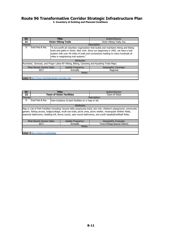| ID:     |                              | Title:                                                                                                                                                                                                                                                                                                | Author/Source:             |  |  |  |
|---------|------------------------------|-------------------------------------------------------------------------------------------------------------------------------------------------------------------------------------------------------------------------------------------------------------------------------------------------------|----------------------------|--|--|--|
| 21      |                              | <b>Victor Hiking Trails</b>                                                                                                                                                                                                                                                                           | Victor Hiking Trails, Inc. |  |  |  |
| Themes: |                              |                                                                                                                                                                                                                                                                                                       | Description:               |  |  |  |
| D       | Exist Ped & Rec              | "A non-profit all volunteer organization that builds and maintains hiking and biking<br>trails and paths in Victor, New York. Since our beginning in 1991, we have a trail<br>system with over 40 miles of trails and connections leading to many hundreds of<br>miles in neighboring trail systems." |                            |  |  |  |
|         |                              | Attributes:                                                                                                                                                                                                                                                                                           |                            |  |  |  |
|         |                              | Rochester, Genesee, and Finger Lakes NY Hiking, Biking, Canoeing and Kayaking Trails Maps.                                                                                                                                                                                                            |                            |  |  |  |
|         | Most Recent Version Date:    | Update Frequency:                                                                                                                                                                                                                                                                                     | Geographic Coverage:       |  |  |  |
|         | 2017<br>Annually<br>Regional |                                                                                                                                                                                                                                                                                                       |                            |  |  |  |
|         | Notes:                       |                                                                                                                                                                                                                                                                                                       |                            |  |  |  |
|         |                              |                                                                                                                                                                                                                                                                                                       |                            |  |  |  |
|         |                              | http://www.victorhikingtrails.org/index.php                                                                                                                                                                                                                                                           |                            |  |  |  |

| ID:     | Title:                                                                                                                                                                                                                                                                                                                                                    |  |                                                     | Author/Source:                |  |  |
|---------|-----------------------------------------------------------------------------------------------------------------------------------------------------------------------------------------------------------------------------------------------------------------------------------------------------------------------------------------------------------|--|-----------------------------------------------------|-------------------------------|--|--|
| 22      |                                                                                                                                                                                                                                                                                                                                                           |  | <b>Town of Victor Facilities</b>                    | Town of Victor                |  |  |
| Themes: |                                                                                                                                                                                                                                                                                                                                                           |  |                                                     | Description:                  |  |  |
| D.      | Exist Ped & Rec                                                                                                                                                                                                                                                                                                                                           |  | View locations of park facilities on a map or list. |                               |  |  |
|         |                                                                                                                                                                                                                                                                                                                                                           |  | Attributes:                                         |                               |  |  |
|         | Map or List of Park Facilities Including: bicycle skills area/pump track, box rink, children's playground, community<br>garden, fishing access, lodge/cottage, multi-use trails, picnic area, picnic shelter, rectangular athletic fields,<br>seasonal bathrooms, sledding hill, tennis courts, year-round bathrooms, and youth baseball/softball fields. |  |                                                     |                               |  |  |
|         | Most Recent Version Date:                                                                                                                                                                                                                                                                                                                                 |  | <b>Update Frequency:</b>                            | Geographic Coverage:          |  |  |
|         | 2017                                                                                                                                                                                                                                                                                                                                                      |  | Annually                                            | Town/Village/Special District |  |  |
| Notes:  |                                                                                                                                                                                                                                                                                                                                                           |  |                                                     |                               |  |  |
|         |                                                                                                                                                                                                                                                                                                                                                           |  |                                                     |                               |  |  |
| Links:  | http://victorny.org/facilities                                                                                                                                                                                                                                                                                                                            |  |                                                     |                               |  |  |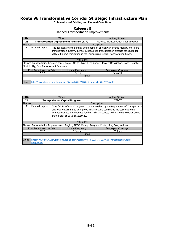**3. Inventory of Existing and Planned Conditions**

## **Category E**

Planned Transportation Improvements

| ID:             |                                                                                   |  | Title:                                          | Author/Source:                                                                                                                                                                                                                                             |  |  |
|-----------------|-----------------------------------------------------------------------------------|--|-------------------------------------------------|------------------------------------------------------------------------------------------------------------------------------------------------------------------------------------------------------------------------------------------------------------|--|--|
| 23              |                                                                                   |  | <b>Transportation Improvement Program (TIP)</b> | Genesee Transportation Council (GTC)                                                                                                                                                                                                                       |  |  |
| Themes:         |                                                                                   |  |                                                 | Description:                                                                                                                                                                                                                                               |  |  |
| E               | Planned Improv                                                                    |  |                                                 | The TIP identifies the timing and funding of all highway, bridge, transit, intelligent<br>transportation system, bicycle, & pedestrian transportation projects scheduled for<br>2017-2020 implementation in the region using federal transportation funds. |  |  |
|                 |                                                                                   |  | Attributes:                                     |                                                                                                                                                                                                                                                            |  |  |
|                 | Municipality, Cost Breakdown & Revenues.                                          |  |                                                 | Planned Transportation Improvements: Project Name, Type, Lead Agency, Project Description, Mode, County,                                                                                                                                                   |  |  |
|                 | Most Recent Version Date:                                                         |  | <b>Update Frequency:</b>                        | Geographic Coverage:                                                                                                                                                                                                                                       |  |  |
| 2017<br>3 Years |                                                                                   |  |                                                 | Regional                                                                                                                                                                                                                                                   |  |  |
| Notes:          |                                                                                   |  |                                                 |                                                                                                                                                                                                                                                            |  |  |
|                 |                                                                                   |  |                                                 |                                                                                                                                                                                                                                                            |  |  |
| Links:          | http://www.qtcmpo.org/sites/default/files/pdf/2017/1720 tip projects 20170316.pdf |  |                                                 |                                                                                                                                                                                                                                                            |  |  |

| ID:     |                             | Title:                                                                                                                                                                                                                                                                                               | Author/Source:                                                                                      |  |  |  |
|---------|-----------------------------|------------------------------------------------------------------------------------------------------------------------------------------------------------------------------------------------------------------------------------------------------------------------------------------------------|-----------------------------------------------------------------------------------------------------|--|--|--|
| 24      |                             | <b>Transportation Capital Program</b>                                                                                                                                                                                                                                                                | <b>NYSDOT</b>                                                                                       |  |  |  |
| Themes: |                             |                                                                                                                                                                                                                                                                                                      | Description:                                                                                        |  |  |  |
| F       | Planned Improv              | "The full list of capital projects to be undertaken by the Department of Transportation<br>and local governments to improve infrastructure conditions, increase economic<br>competitiveness and mitigate flooding risks associated with extreme weather events."<br>State Fiscal Yr 2015-16/2019-20. |                                                                                                     |  |  |  |
|         |                             | Attributes:                                                                                                                                                                                                                                                                                          |                                                                                                     |  |  |  |
|         |                             |                                                                                                                                                                                                                                                                                                      | Planned Transportation Improvements: Region, REDC, County, Program, Project title, Cost, and Year.  |  |  |  |
|         | Most Recent Version Date:   | <b>Update Frequency:</b>                                                                                                                                                                                                                                                                             | Geographic Coverage:                                                                                |  |  |  |
|         | 5 Years<br>NY State<br>2017 |                                                                                                                                                                                                                                                                                                      |                                                                                                     |  |  |  |
|         | Notes:                      |                                                                                                                                                                                                                                                                                                      |                                                                                                     |  |  |  |
|         |                             |                                                                                                                                                                                                                                                                                                      |                                                                                                     |  |  |  |
| Links:  | Program.pdf                 |                                                                                                                                                                                                                                                                                                      | https://www.dot.ny.gov/programs/capital-plan/repository/SFY-2015-16 2019-20-Transportation-Capital- |  |  |  |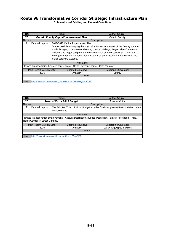| ID:     |                           | <b>Title:</b>            |                                                                                   | Author/Source:                                                                     |  |  |
|---------|---------------------------|--------------------------|-----------------------------------------------------------------------------------|------------------------------------------------------------------------------------|--|--|
| 25      |                           |                          | <b>Ontario County Capital Improvement Plan</b>                                    | <b>Ontario County</b>                                                              |  |  |
| Themes: |                           |                          |                                                                                   | Description:                                                                       |  |  |
| F       | Planned Improv            |                          | 2017-2022 Capital Improvement Plan:                                               |                                                                                    |  |  |
|         |                           |                          |                                                                                   | "A tool used for managing the physical infrastructure assets of the County such as |  |  |
|         |                           |                          |                                                                                   | roads, bridges, county sewer districts, county buildings, Finger Lakes Community   |  |  |
|         |                           |                          |                                                                                   | College, and major equipment and systems such as the County's 9-1-1 system,        |  |  |
|         |                           |                          |                                                                                   | Emergency Radio Communication System, Computer network infrastructure, and         |  |  |
|         |                           | major software systems." |                                                                                   |                                                                                    |  |  |
|         |                           |                          | Attributes:                                                                       |                                                                                    |  |  |
|         |                           |                          | Planned Transportation Improvements: Project Name, Revenue Source, Cost Per Year. |                                                                                    |  |  |
|         | Most Recent Version Date: |                          | Update Frequency:                                                                 | Geographic Coverage:                                                               |  |  |
|         | 2016                      |                          | Annually                                                                          | County                                                                             |  |  |
|         | Notes:                    |                          |                                                                                   |                                                                                    |  |  |
|         |                           |                          |                                                                                   |                                                                                    |  |  |
| Links:  |                           |                          | http://www.co.ontario.ny.us/ArchiveCenter/ViewFile/Item/1732                      |                                                                                    |  |  |

| ID:     |                                                                                                                                                  | Title: |                            | Author/Source:                |  |  |
|---------|--------------------------------------------------------------------------------------------------------------------------------------------------|--------|----------------------------|-------------------------------|--|--|
| 26      |                                                                                                                                                  |        | Town of Victor 2017 Budget | Town of Victor                |  |  |
| Themes: |                                                                                                                                                  |        |                            | Description:                  |  |  |
| F       | Planned Improv<br>The Adopted Town of Victor Budget includes funds for planned transportation related<br>improvements.                           |        |                            |                               |  |  |
|         |                                                                                                                                                  |        | Attributes:                |                               |  |  |
|         | Planned Transportation Improvements: Account Description, Budget, Pedestrian, Parks & Recreation, Trails,<br>Traffic Control, & Street Lighting. |        |                            |                               |  |  |
|         | <b>Most Recent Version Date:</b>                                                                                                                 |        | Update Frequency:          | Geographic Coverage:          |  |  |
|         | 2016                                                                                                                                             |        | Annually                   | Town/Village/Special District |  |  |
|         | Notes:                                                                                                                                           |        |                            |                               |  |  |
|         |                                                                                                                                                  |        |                            |                               |  |  |
| Links:  | http://www.victorny.org/DocumentCenter/View/1081                                                                                                 |        |                            |                               |  |  |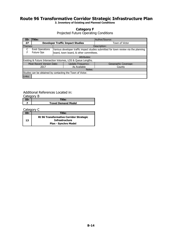**3. Inventory of Existing and Planned Conditions**

#### **Category F**

Projected Future Operating Conditions

| ID:                                                       | Title:                    |  |                                                              | Author/Source:                                                                      |  |  |
|-----------------------------------------------------------|---------------------------|--|--------------------------------------------------------------|-------------------------------------------------------------------------------------|--|--|
| 27                                                        |                           |  | <b>Developer Traffic Impact Studies</b>                      | Town of Victor                                                                      |  |  |
| Themes:                                                   |                           |  |                                                              | Description:                                                                        |  |  |
|                                                           | <b>Exist Operations</b>   |  |                                                              | Various developer traffic impact studies submitted for town review via the planning |  |  |
|                                                           | Future Ops                |  | board, town board, & other committees.                       |                                                                                     |  |  |
|                                                           |                           |  | Attributes:                                                  |                                                                                     |  |  |
|                                                           |                           |  | Existing & Future Intersection Volumes, LOS & Queue Lengths. |                                                                                     |  |  |
|                                                           | Most Recent Version Date: |  | <b>Update Frequency:</b>                                     | Geographic Coverage:                                                                |  |  |
|                                                           | As Available<br>2017      |  |                                                              | County                                                                              |  |  |
|                                                           | Notes:                    |  |                                                              |                                                                                     |  |  |
| Studies can be obtained by contacting the Town of Victor. |                           |  |                                                              |                                                                                     |  |  |
| Links:                                                    |                           |  |                                                              |                                                                                     |  |  |

#### Additional References Located in:

| Category B |                            |
|------------|----------------------------|
|            | ™tle:                      |
|            | <b>Travel Demand Model</b> |

#### Category C

| ID: | Title:                                         |
|-----|------------------------------------------------|
|     | <b>Rt 96 Transformative Corridor Strategic</b> |
| 13  | <b>Infrastructure</b>                          |
|     | <b>Plan - Synchro Model</b>                    |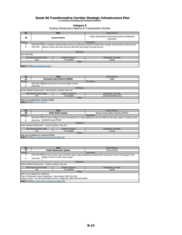# Route 96 Transformative Corridor Strategic Infrastructure Plan<br>3. Inventory of Existing and Planned Conditions

#### **Category G**

Existing Infrastructure Relative to Transportation Facilities

| ID:            |                            |  | Title:                                                                         | Author/Source:                                                                                                                         |  |  |  |
|----------------|----------------------------|--|--------------------------------------------------------------------------------|----------------------------------------------------------------------------------------------------------------------------------------|--|--|--|
| 28             |                            |  | <b>Access Ontario</b>                                                          | Finger Lakes Regional Telecommunications Development<br>Corporation                                                                    |  |  |  |
| Themes:        |                            |  |                                                                                | Description:                                                                                                                           |  |  |  |
| А              |                            |  |                                                                                | Exist Phys Ch"As a nonprofit, required entity serving as a telecommunications infrastructure provider, Access Ontario is the go-to for |  |  |  |
| G              | Exist Infra                |  | telecom carriers who want access to dark fiber technology to provide service." |                                                                                                                                        |  |  |  |
|                |                            |  |                                                                                |                                                                                                                                        |  |  |  |
|                |                            |  | Attributes:                                                                    |                                                                                                                                        |  |  |  |
| Fiber Area Map |                            |  |                                                                                |                                                                                                                                        |  |  |  |
|                | Most Recent Version Date:  |  | <b>Update Frequency:</b>                                                       | Geographic Coverage:                                                                                                                   |  |  |  |
|                | 2010                       |  | As Available                                                                   | County                                                                                                                                 |  |  |  |
|                | Notes:                     |  |                                                                                |                                                                                                                                        |  |  |  |
|                |                            |  |                                                                                |                                                                                                                                        |  |  |  |
| Links:         | https://axcessontario.com/ |  |                                                                                |                                                                                                                                        |  |  |  |

| ID:                                                   |                                          |  | Title:                                                               | Author/Source:         |  |
|-------------------------------------------------------|------------------------------------------|--|----------------------------------------------------------------------|------------------------|--|
| 29                                                    |                                          |  | <b>Rochester Gas &amp; Electric (RG&amp;E)</b>                       | RG&E                   |  |
| Themes:                                               |                                          |  |                                                                      | Description:           |  |
| А                                                     |                                          |  | Exist Phys ChRG&E services the Town and Village of Victor.           |                        |  |
| G                                                     | Exist Infra                              |  |                                                                      |                        |  |
|                                                       |                                          |  | Attributes:                                                          |                        |  |
|                                                       |                                          |  | Private Related Infrastructure: Gas & Electric Locations, Size, etc. |                        |  |
| Most Recent Version Date:<br><b>Update Frequency:</b> |                                          |  |                                                                      | Geographic Coverage:   |  |
|                                                       | As Available<br><b>NA</b>                |  |                                                                      | Greater Rochester Area |  |
| Notes:                                                |                                          |  |                                                                      |                        |  |
|                                                       | Data can be obtained by contacting RG&E. |  |                                                                      |                        |  |
| Links:                                                | http://www.rge.com                       |  |                                                                      |                        |  |

| ID:                                                          |                                                                                                                                       | Title:                     |              | Author/Source:                       |  |  |
|--------------------------------------------------------------|---------------------------------------------------------------------------------------------------------------------------------------|----------------------------|--------------|--------------------------------------|--|--|
| 30                                                           |                                                                                                                                       | <b>Public Water System</b> |              | Monroe County Water Authority (MCWA) |  |  |
| Themes:                                                      |                                                                                                                                       |                            | Description: |                                      |  |  |
| A                                                            | Exist Phys Ch"The Town & Village of Victor has entered into a lease agreement with the MCWA for the water system. All billing will be |                            |              |                                      |  |  |
| G                                                            | Exist Infra                                                                                                                           | handled through MCWA."     |              |                                      |  |  |
|                                                              | Attributes:                                                                                                                           |                            |              |                                      |  |  |
| Public Related Infrastructure: Conduit Locations, Size, etc. |                                                                                                                                       |                            |              |                                      |  |  |
|                                                              | Most Recent Version Date:<br><b>Update Frequency:</b><br>Geographic Coverage:                                                         |                            |              |                                      |  |  |
| As Available<br>NA                                           |                                                                                                                                       |                            | County       |                                      |  |  |
| Notes:                                                       |                                                                                                                                       |                            |              |                                      |  |  |
|                                                              | Data can be obtained by contacting MCWA.                                                                                              |                            |              |                                      |  |  |
| Links:                                                       | http://www.victorny.org/index.aspx?NID=237                                                                                            |                            |              |                                      |  |  |

| ID:                                                   |                                                                                                                                   |                                           | Title:                          | Author/Source:       |  |  |  |
|-------------------------------------------------------|-----------------------------------------------------------------------------------------------------------------------------------|-------------------------------------------|---------------------------------|----------------------|--|--|--|
| 31                                                    |                                                                                                                                   |                                           | <b>Public Wastewater System</b> | Town of Victor       |  |  |  |
| Themes:                                               |                                                                                                                                   |                                           |                                 | Description:         |  |  |  |
| A                                                     | Exist Phys Ch"The Town of Victor does not bill for sewer usage. Residents are billed either through the Town of Farmington or the |                                           |                                 |                      |  |  |  |
| G                                                     | Exist Infra                                                                                                                       | Village of Victor for their sewer usage." |                                 |                      |  |  |  |
|                                                       | Attributes:                                                                                                                       |                                           |                                 |                      |  |  |  |
|                                                       | Public Related Infrastructure: Conduit Locations, Size, etc.                                                                      |                                           |                                 |                      |  |  |  |
| Most Recent Version Date:<br><b>Update Frequency:</b> |                                                                                                                                   |                                           |                                 | Geographic Coverage: |  |  |  |
| NA                                                    |                                                                                                                                   |                                           | As Available                    | County               |  |  |  |
|                                                       | Notes:                                                                                                                            |                                           |                                 |                      |  |  |  |
|                                                       | Data can be obtained by contacting:                                                                                               |                                           |                                 |                      |  |  |  |
|                                                       | Town of Farmington Sewer Department - Dave DeGear (585) 924-3158                                                                  |                                           |                                 |                      |  |  |  |
|                                                       | Village of Victor - Jon McConnell (585) 924-3311 Village Hall, (585) 924-4376 WWTP                                                |                                           |                                 |                      |  |  |  |
| Links:<br>http://www.victorny.org/index.aspx?NID=228  |                                                                                                                                   |                                           |                                 |                      |  |  |  |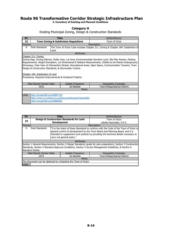**3. Inventory of Existing and Planned Conditions**

## **Category H**

Existing Municipal Zoning, Design & Construction Standards

| ID:                                                |                                                                                                                                                                                                                                                                                                                                                                                                                                                                                                      | Title:                                                                                      | Author/Source: |  |  |  |
|----------------------------------------------------|------------------------------------------------------------------------------------------------------------------------------------------------------------------------------------------------------------------------------------------------------------------------------------------------------------------------------------------------------------------------------------------------------------------------------------------------------------------------------------------------------|---------------------------------------------------------------------------------------------|----------------|--|--|--|
| 32                                                 |                                                                                                                                                                                                                                                                                                                                                                                                                                                                                                      | <b>Town Zoning &amp; Subdivision Regulations</b>                                            | Town of Victor |  |  |  |
| Themes:                                            |                                                                                                                                                                                                                                                                                                                                                                                                                                                                                                      |                                                                                             | Description:   |  |  |  |
| н                                                  | <b>Exist Standards</b>                                                                                                                                                                                                                                                                                                                                                                                                                                                                               | The Town of Victor Code includes Chapter 211: Zoning & Chapter 184: Subdivision of<br>Land. |                |  |  |  |
|                                                    |                                                                                                                                                                                                                                                                                                                                                                                                                                                                                                      | Attributes:                                                                                 |                |  |  |  |
|                                                    | Chapter 211: Zoning                                                                                                                                                                                                                                                                                                                                                                                                                                                                                  |                                                                                             |                |  |  |  |
|                                                    | Zoning Map, Zoning Districts, Public Uses, Lot Area, Environmentally Sensitive Land, Site Plan Review, Parking<br>Requirements, Height Exemption, Lot Dimensional & Setback Measurements, Utilities to be Placed Underground,<br>Driveways, Clear View of Intersection Streets, Recreational Areas, Open Space, Communication Towners, Town<br>Design & Construction Standards, & Stormwater Control.<br>Chapter 184: Subdivision of Land<br>Procedures, Required Improvements & Clustered Projects. |                                                                                             |                |  |  |  |
|                                                    | Most Recent Version Date:<br>Update Frequency:<br>Geographic Coverage:                                                                                                                                                                                                                                                                                                                                                                                                                               |                                                                                             |                |  |  |  |
| 2016<br>As Needed<br>Town/Village/Special District |                                                                                                                                                                                                                                                                                                                                                                                                                                                                                                      |                                                                                             |                |  |  |  |
|                                                    | Notes:                                                                                                                                                                                                                                                                                                                                                                                                                                                                                               |                                                                                             |                |  |  |  |
|                                                    |                                                                                                                                                                                                                                                                                                                                                                                                                                                                                                      |                                                                                             |                |  |  |  |
| Links:                                             | http://ecode360.com/8087139                                                                                                                                                                                                                                                                                                                                                                                                                                                                          |                                                                                             |                |  |  |  |
|                                                    | http://www.co.ontario.ny.us/DocumentCenter/View/6402<br>http://ecode360.com/8086482                                                                                                                                                                                                                                                                                                                                                                                                                  |                                                                                             |                |  |  |  |

| ID:               |                                                                                                                 | Title:             |                                                                | Author/Source:                                                                                                                                                                                                                                                   |  |  |
|-------------------|-----------------------------------------------------------------------------------------------------------------|--------------------|----------------------------------------------------------------|------------------------------------------------------------------------------------------------------------------------------------------------------------------------------------------------------------------------------------------------------------------|--|--|
| 33                |                                                                                                                 |                    | <b>Design &amp; Construction Standards for Land</b>            | Town of Victor                                                                                                                                                                                                                                                   |  |  |
|                   |                                                                                                                 | <b>Development</b> |                                                                | Labella Associates, D.P.C.                                                                                                                                                                                                                                       |  |  |
| Themes:           |                                                                                                                 | Description:       |                                                                |                                                                                                                                                                                                                                                                  |  |  |
| н                 | Exist Standards                                                                                                 |                    | carry out general policy."                                     | "It is the intent of these Standards to conform with the Code of the Town of Victor or<br>general control of development by the Town Board and Planning Board, and it is<br>intended to supplement such policies by providing the technical details necessary to |  |  |
|                   | Attributes:                                                                                                     |                    |                                                                |                                                                                                                                                                                                                                                                  |  |  |
|                   | Section 1 General Requirements, Section 2 Design Standards (quide for plan preparation), Section 3 Construction |                    |                                                                |                                                                                                                                                                                                                                                                  |  |  |
|                   | Standards, Section 4 Standard Approval Conditions, Section 5 Access Management Guidelines, & Section 6          |                    |                                                                |                                                                                                                                                                                                                                                                  |  |  |
| Standard Details. |                                                                                                                 |                    |                                                                |                                                                                                                                                                                                                                                                  |  |  |
|                   | Most Recent Version Date:<br><b>Update Frequency:</b><br>Geographic Coverage:                                   |                    |                                                                |                                                                                                                                                                                                                                                                  |  |  |
| 2014              |                                                                                                                 |                    | As Needed                                                      | Town/Village/Special District                                                                                                                                                                                                                                    |  |  |
| Notes:            |                                                                                                                 |                    |                                                                |                                                                                                                                                                                                                                                                  |  |  |
|                   |                                                                                                                 |                    | The Document can be obtained by contacting the Town of Victor. |                                                                                                                                                                                                                                                                  |  |  |
| Links:            |                                                                                                                 |                    |                                                                |                                                                                                                                                                                                                                                                  |  |  |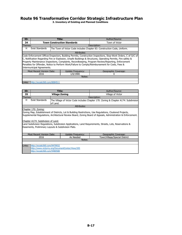| ID:                         |                                                                                                                                                                                                                                                                                                                                                                                                                                                                        |  | Title:                                                                   | Author/Source: |  |  |
|-----------------------------|------------------------------------------------------------------------------------------------------------------------------------------------------------------------------------------------------------------------------------------------------------------------------------------------------------------------------------------------------------------------------------------------------------------------------------------------------------------------|--|--------------------------------------------------------------------------|----------------|--|--|
| 34                          |                                                                                                                                                                                                                                                                                                                                                                                                                                                                        |  | <b>Town Construction Standards</b>                                       | Town of Victor |  |  |
| Themes:                     |                                                                                                                                                                                                                                                                                                                                                                                                                                                                        |  | Description:                                                             |                |  |  |
| <b>Exist Standards</b><br>н |                                                                                                                                                                                                                                                                                                                                                                                                                                                                        |  | The Town of Victor Code includes Chapter 83: Construction Code, Uniform. |                |  |  |
|                             |                                                                                                                                                                                                                                                                                                                                                                                                                                                                        |  | Attributes:                                                              |                |  |  |
|                             | Code Enforcement Officer/Inspectors, Building Permits, Construction Inspections, Stop-Work Orders, C of O/C of<br>C, Notification Regarding Fire or Explosion, Unsafe Buildings & Structures, Operating Permits, Fire safety &<br>Property Maintenance Inspections, Complaints, Recordkeeping, Program Review/Reporting, Enforcement<br>Penalties for Offender, Notice to Perform Work/Failure to Comply/Reimbursement for Costs, Fees &<br>Intermunicipal Agreements. |  |                                                                          |                |  |  |
|                             | <b>Most Recent Version Date:</b><br>Update Frequency:<br>Geographic Coverage:                                                                                                                                                                                                                                                                                                                                                                                          |  |                                                                          |                |  |  |
|                             | 1/0/1900<br>2016                                                                                                                                                                                                                                                                                                                                                                                                                                                       |  |                                                                          |                |  |  |
|                             | Notes:                                                                                                                                                                                                                                                                                                                                                                                                                                                                 |  |                                                                          |                |  |  |
|                             |                                                                                                                                                                                                                                                                                                                                                                                                                                                                        |  |                                                                          |                |  |  |
| Links:                      | http://ecode360.com/8084511                                                                                                                                                                                                                                                                                                                                                                                                                                            |  |                                                                          |                |  |  |

| ID:     |                                                                                                                                                                                                                                                                                                                                                                                                                                    | Title:                |             | Author/Source:    |  |  |
|---------|------------------------------------------------------------------------------------------------------------------------------------------------------------------------------------------------------------------------------------------------------------------------------------------------------------------------------------------------------------------------------------------------------------------------------------|-----------------------|-------------|-------------------|--|--|
| 35      |                                                                                                                                                                                                                                                                                                                                                                                                                                    | <b>Village Zoning</b> |             | Village of Victor |  |  |
| Themes: |                                                                                                                                                                                                                                                                                                                                                                                                                                    |                       |             | Description:      |  |  |
| н       | Exist Standards<br>The Village of Victor Code includes Chapter 170: Zoning & Chapter A174: Subdivision<br>of Land.                                                                                                                                                                                                                                                                                                                 |                       |             |                   |  |  |
|         |                                                                                                                                                                                                                                                                                                                                                                                                                                    |                       | Attributes: |                   |  |  |
|         | Chapter 170: Zoning:                                                                                                                                                                                                                                                                                                                                                                                                               |                       |             |                   |  |  |
|         | Zoning Map, Establishment of Districts, Lot & Building Restrictions, Use Regulations, Clustered Projects,<br>Supplemental Regulations, Architectural Review Board, Zoning Board of Appeals, Administration & Enforcement.<br>Chapter A174: Subdivision of Land:<br>Land Subdivision Regulations, Subdivision Applications, Land Reguirements, Streets, Lots, Reservations &<br>Easements, Preliminary Layouts & Subdivision Plats. |                       |             |                   |  |  |
|         | Most Recent Version Date:<br>Update Frequency:<br>Geographic Coverage:                                                                                                                                                                                                                                                                                                                                                             |                       |             |                   |  |  |
|         | 2016<br>As Needed<br>Town/Village/Special District                                                                                                                                                                                                                                                                                                                                                                                 |                       |             |                   |  |  |
| Notes:  |                                                                                                                                                                                                                                                                                                                                                                                                                                    |                       |             |                   |  |  |
|         |                                                                                                                                                                                                                                                                                                                                                                                                                                    |                       |             |                   |  |  |
| Links:  | http://ecode360.com/9479932<br>http://www.victorny.org/DocumentCenter/View/205<br>http://ecode360.com/9480588                                                                                                                                                                                                                                                                                                                      |                       |             |                   |  |  |